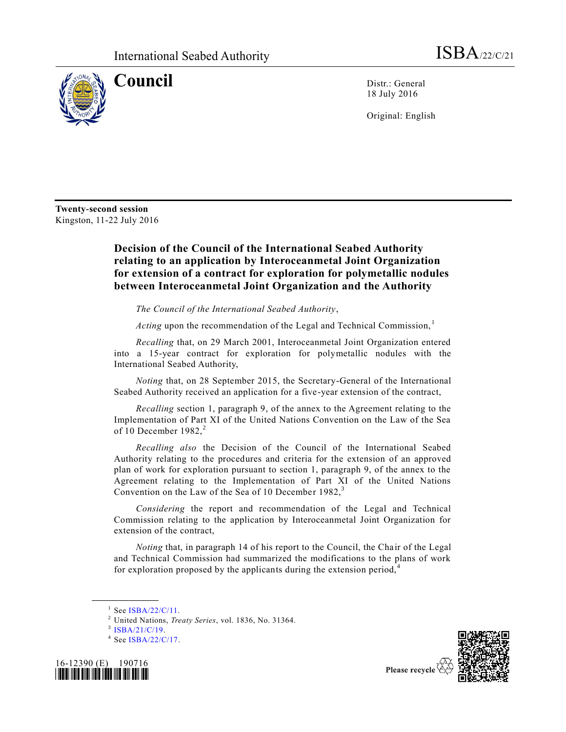

**Council** Distr.: General 18 July 2016

Original: English

**Twenty-second session**  Kingston, 11-22 July 2016

## **Decision of the Council of the International Seabed Authority relating to an application by Interoceanmetal Joint Organization for extension of a contract for exploration for polymetallic nodules between Interoceanmetal Joint Organization and the Authority**

*The Council of the International Seabed Authority*,

Acting upon the recommendation of the Legal and Technical Commission,<sup>1</sup>

*Recalling* that, on 29 March 2001, Interoceanmetal Joint Organization entered into a 15-year contract for exploration for polymetallic nodules with the International Seabed Authority,

*Noting* that, on 28 September 2015, the Secretary-General of the International Seabed Authority received an application for a five-year extension of the contract,

*Recalling* section 1, paragraph 9, of the annex to the Agreement relating to the Implementation of Part XI of the United Nations Convention on the Law of the Sea of 10 December  $1982$ <sup>2</sup>

*Recalling also* the Decision of the Council of the International Seabed Authority relating to the procedures and criteria for the extension of an approved plan of work for exploration pursuant to section 1, paragraph 9, of the annex to the Agreement relating to the Implementation of Part XI of the United Nations Convention on the Law of the Sea of 10 December 1982, $3$ 

*Considering* the report and recommendation of the Legal and Technical Commission relating to the application by Interoceanmetal Joint Organization for extension of the contract,

*Noting* that, in paragraph 14 of his report to the Council, the Chair of the Legal and Technical Commission had summarized the modifications to the plans of work for exploration proposed by the applicants during the extension period, $4$ 

**\_\_\_\_\_\_\_\_\_\_\_\_\_\_\_\_\_\_**

<sup>3</sup> [ISBA/21/C/19.](http://undocs.org/ISBA/21/C/19)

<sup>&</sup>lt;sup>4</sup> See [ISBA/22/C/17.](http://undocs.org/ISBA/22/C/17)





 $1$  See [ISBA/22/C/11.](http://undocs.org/ISBA/22/C/11)

<sup>2</sup> United Nations, *Treaty Series*, vol. 1836, No. 31364.